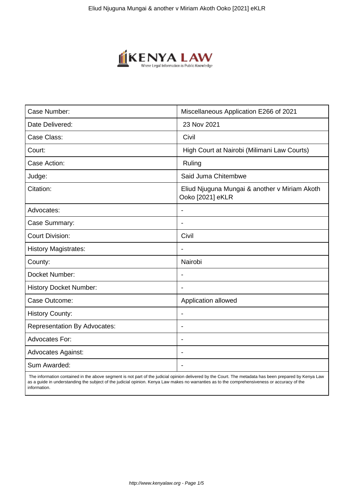

| Case Number:                        | Miscellaneous Application E266 of 2021                            |
|-------------------------------------|-------------------------------------------------------------------|
| Date Delivered:                     | 23 Nov 2021                                                       |
| Case Class:                         | Civil                                                             |
| Court:                              | High Court at Nairobi (Milimani Law Courts)                       |
| Case Action:                        | Ruling                                                            |
| Judge:                              | Said Juma Chitembwe                                               |
| Citation:                           | Eliud Njuguna Mungai & another v Miriam Akoth<br>Ooko [2021] eKLR |
| Advocates:                          |                                                                   |
| Case Summary:                       |                                                                   |
| <b>Court Division:</b>              | Civil                                                             |
| <b>History Magistrates:</b>         | $\blacksquare$                                                    |
| County:                             | Nairobi                                                           |
| Docket Number:                      |                                                                   |
| <b>History Docket Number:</b>       |                                                                   |
| Case Outcome:                       | Application allowed                                               |
| <b>History County:</b>              | $\overline{\phantom{a}}$                                          |
| <b>Representation By Advocates:</b> | $\overline{\phantom{a}}$                                          |
| <b>Advocates For:</b>               | ÷                                                                 |
| <b>Advocates Against:</b>           |                                                                   |
| Sum Awarded:                        |                                                                   |

 The information contained in the above segment is not part of the judicial opinion delivered by the Court. The metadata has been prepared by Kenya Law as a guide in understanding the subject of the judicial opinion. Kenya Law makes no warranties as to the comprehensiveness or accuracy of the information.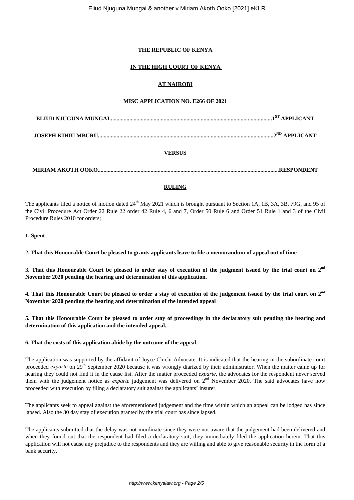# **THE REPUBLIC OF KENYA**

# **IN THE HIGH COURT OF KENYA**

# **AT NAIROBI**

# **MISC APPLICATION NO. E266 OF 2021**

**JOSEPH KIHIU MBURU...........................................................................................................................2ND APPLICANT**

# **VERSUS**

**MIRIAM AKOTH OOKO...............................................................................................................................RESPONDENT**

# **RULING**

The applicants filed a notice of motion dated 24<sup>th</sup> May 2021 which is brought pursuant to Section 1A, 1B, 3A, 3B, 79G, and 95 of the Civil Procedure Act Order 22 Rule 22 order 42 Rule 4, 6 and 7, Order 50 Rule 6 and Order 51 Rule 1 and 3 of the Civil Procedure Rules 2010 for orders;

## **1. Spent**

**2. That this Honourable Court be pleased to grants applicants leave to file a memorandum of appeal out of time**

**3. That this Honourable Court be pleased to order stay of execution of the judgment issued by the trial court on 2nd November 2020 pending the hearing and determination of this application.**

**4. That this Honourable Court be pleased to order a stay of execution of the judgement issued by the trial court on 2nd November 2020 pending the hearing and determination of the intended appeal**

**5. That this Honourable Court be pleased to order stay of proceedings in the declaratory suit pending the hearing and determination of this application and the intended appeal.**

#### **6. That the costs of this application abide by the outcome of the appeal**.

The application was supported by the affidavit of Joyce Chichi Advocate. It is indicated that the hearing in the subordinate court proceeded *exparte* on 29<sup>th</sup> September 2020 because it was wrongly diarized by their administrator. When the matter came up for hearing they could not find it in the cause list. After the matter proceeded *exparte*, the advocates for the respondent never served them with the judgement notice as *exparte* judgement was delivered on 2nd November 2020. The said advocates have now proceeded with execution by filing a declaratory suit against the applicants' insurer.

The applicants seek to appeal against the aforementioned judgement and the time within which an appeal can be lodged has since lapsed. Also the 30 day stay of execution granted by the trial court has since lapsed.

The applicants submitted that the delay was not inordinate since they were not aware that the judgement had been delivered and when they found out that the respondent had filed a declaratory suit, they immediately filed the application herein. That this application will not cause any prejudice to the respondents and they are willing and able to give reasonable security in the form of a bank security.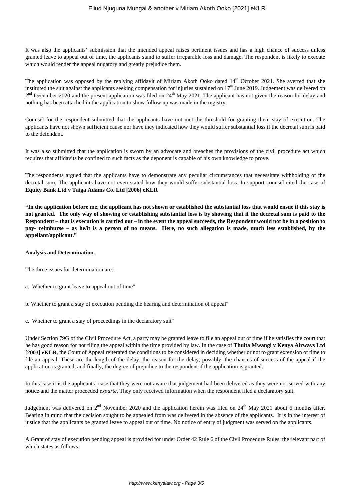It was also the applicants' submission that the intended appeal raises pertinent issues and has a high chance of success unless granted leave to appeal out of time, the applicants stand to suffer irreparable loss and damage. The respondent is likely to execute which would render the appeal nugatory and greatly prejudice them.

The application was opposed by the replying affidavit of Miriam Akoth Ooko dated 14<sup>th</sup> October 2021. She averred that she instituted the suit against the applicants seeking compensation for injuries sustained on  $17<sup>th</sup>$  June 2019. Judgement was delivered on  $2<sup>nd</sup>$  December 2020 and the present application was filed on  $24<sup>th</sup>$  May 2021. The applicant has not given the reason for delay and nothing has been attached in the application to show follow up was made in the registry.

Counsel for the respondent submitted that the applicants have not met the threshold for granting them stay of execution. The applicants have not shown sufficient cause nor have they indicated how they would suffer substantial loss if the decretal sum is paid to the defendant.

It was also submitted that the application is sworn by an advocate and breaches the provisions of the civil procedure act which requires that affidavits be confined to such facts as the deponent is capable of his own knowledge to prove.

The respondents argued that the applicants have to demonstrate any peculiar circumstances that necessitate withholding of the decretal sum. The applicants have not even stated how they would suffer substantial loss. In support counsel cited the case of **Equity Bank Ltd v Taiga Adams Co. Ltd [2006] eKLR**

**"In the application before me, the applicant has not shown or established the substantial loss that would ensue if this stay is not granted. The only way of showing or establishing substantial loss is by showing that if the decretal sum is paid to the Respondent – that is execution is carried out – in the event the appeal succeeds, the Respondent would not be in a position to pay- reimburse – as he/it is a person of no means. Here, no such allegation is made, much less established, by the appellant/applicant."**

# **Analysis and Determination.**

The three issues for determination are:-

- a. Whether to grant leave to appeal out of time"
- b. Whether to grant a stay of execution pending the hearing and determination of appeal"
- c. Whether to grant a stay of proceedings in the declaratory suit"

Under Section 79G of the Civil Procedure Act, a party may be granted leave to file an appeal out of time if he satisfies the court that he has good reason for not filing the appeal within the time provided by law. In the case of **Thuita Mwangi v Kenya Airways Ltd [2003] eKLR**, the Court of Appeal reiterated the conditions to be considered in deciding whether or not to grant extension of time to file an appeal. These are the length of the delay, the reason for the delay, possibly, the chances of success of the appeal if the application is granted, and finally, the degree of prejudice to the respondent if the application is granted.

In this case it is the applicants' case that they were not aware that judgement had been delivered as they were not served with any notice and the matter proceeded *exparte*. They only received information when the respondent filed a declaratory suit.

Judgement was delivered on  $2^{nd}$  November 2020 and the application herein was filed on  $24^{th}$  May 2021 about 6 months after. Bearing in mind that the decision sought to be appealed from was delivered in the absence of the applicants. It is in the interest of justice that the applicants be granted leave to appeal out of time. No notice of entry of judgment was served on the applicants.

A Grant of stay of execution pending appeal is provided for under Order 42 Rule 6 of the Civil Procedure Rules, the relevant part of which states as follows: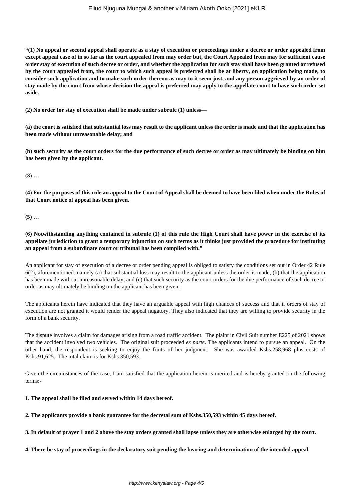## Eliud Njuguna Mungai & another v Miriam Akoth Ooko [2021] eKLR

**"(1) No appeal or second appeal shall operate as a stay of execution or proceedings under a decree or order appealed from except appeal case of in so far as the court appealed from may order but, the Court Appealed from may for sufficient cause order stay of execution of such decree or order, and whether the application for such stay shall have been granted or refused by the court appealed from, the court to which such appeal is preferred shall be at liberty, on application being made, to consider such application and to make such order thereon as may to it seem just, and any person aggrieved by an order of stay made by the court from whose decision the appeal is preferred may apply to the appellate court to have such order set aside.**

**(2) No order for stay of execution shall be made under subrule (1) unless—**

**(a) the court is satisfied that substantial loss may result to the applicant unless the order is made and that the application has been made without unreasonable delay; and**

**(b) such security as the court orders for the due performance of such decree or order as may ultimately be binding on him has been given by the applicant.**

**(3) …**

**(4) For the purposes of this rule an appeal to the Court of Appeal shall be deemed to have been filed when under the Rules of that Court notice of appeal has been given.**

**(5) …**

**(6) Notwithstanding anything contained in subrule (1) of this rule the High Court shall have power in the exercise of its appellate jurisdiction to grant a temporary injunction on such terms as it thinks just provided the procedure for instituting an appeal from a subordinate court or tribunal has been complied with."**

An applicant for stay of execution of a decree or order pending appeal is obliged to satisfy the conditions set out in Order 42 Rule 6(2), aforementioned: namely (a) that substantial loss may result to the applicant unless the order is made, (b) that the application has been made without unreasonable delay, and (c) that such security as the court orders for the due performance of such decree or order as may ultimately be binding on the applicant has been given.

The applicants herein have indicated that they have an arguable appeal with high chances of success and that if orders of stay of execution are not granted it would render the appeal nugatory. They also indicated that they are willing to provide security in the form of a bank security.

The dispute involves a claim for damages arising from a road traffic accident. The plaint in Civil Suit number E225 of 2021 shows that the accident involved two vehicles. The original suit proceeded *ex parte*. The applicants intend to pursue an appeal. On the other hand, the respondent is seeking to enjoy the fruits of her judgment. She was awarded Kshs.258,968 plus costs of Kshs.91,625. The total claim is for Kshs.350,593.

Given the circumstances of the case, I am satisfied that the application herein is merited and is hereby granted on the following terms:-

# **1. The appeal shall be filed and served within 14 days hereof.**

**2. The applicants provide a bank guarantee for the decretal sum of Kshs.350,593 within 45 days hereof.**

**3. In default of prayer 1 and 2 above the stay orders granted shall lapse unless they are otherwise enlarged by the court.**

**4. There be stay of proceedings in the declaratory suit pending the hearing and determination of the intended appeal.**